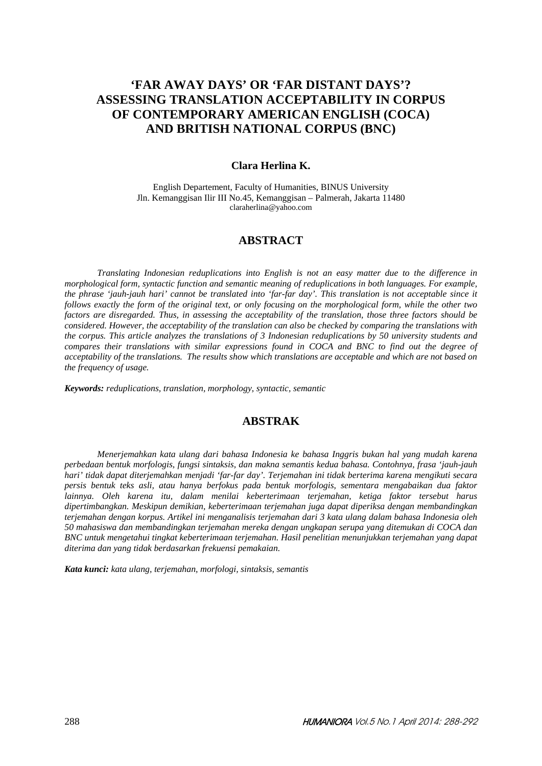# **'FAR AWAY DAYS' OR 'FAR DISTANT DAYS'? ASSESSING TRANSLATION ACCEPTABILITY IN CORPUS OF CONTEMPORARY AMERICAN ENGLISH (COCA) AND BRITISH NATIONAL CORPUS (BNC)**

#### **Clara Herlina K.**

English Departement, Faculty of Humanities, BINUS University Jln. Kemanggisan Ilir III No.45, Kemanggisan – Palmerah, Jakarta 11480 claraherlina@yahoo.com

## **ABSTRACT**

*Translating Indonesian reduplications into English is not an easy matter due to the difference in morphological form, syntactic function and semantic meaning of reduplications in both languages. For example, the phrase 'jauh-jauh hari' cannot be translated into 'far-far day'. This translation is not acceptable since it follows exactly the form of the original text, or only focusing on the morphological form, while the other two factors are disregarded. Thus, in assessing the acceptability of the translation, those three factors should be considered. However, the acceptability of the translation can also be checked by comparing the translations with the corpus. This article analyzes the translations of 3 Indonesian reduplications by 50 university students and compares their translations with similar expressions found in COCA and BNC to find out the degree of acceptability of the translations. The results show which translations are acceptable and which are not based on the frequency of usage.* 

*Keywords: reduplications, translation, morphology, syntactic, semantic* 

## **ABSTRAK**

*Menerjemahkan kata ulang dari bahasa Indonesia ke bahasa Inggris bukan hal yang mudah karena perbedaan bentuk morfologis, fungsi sintaksis, dan makna semantis kedua bahasa. Contohnya, frasa 'jauh-jauh hari' tidak dapat diterjemahkan menjadi 'far-far day'. Terjemahan ini tidak berterima karena mengikuti secara persis bentuk teks asli, atau hanya berfokus pada bentuk morfologis, sementara mengabaikan dua faktor lainnya. Oleh karena itu, dalam menilai keberterimaan terjemahan, ketiga faktor tersebut harus dipertimbangkan. Meskipun demikian, keberterimaan terjemahan juga dapat diperiksa dengan membandingkan terjemahan dengan korpus. Artikel ini menganalisis terjemahan dari 3 kata ulang dalam bahasa Indonesia oleh 50 mahasiswa dan membandingkan terjemahan mereka dengan ungkapan serupa yang ditemukan di COCA dan BNC untuk mengetahui tingkat keberterimaan terjemahan. Hasil penelitian menunjukkan terjemahan yang dapat diterima dan yang tidak berdasarkan frekuensi pemakaian.* 

*Kata kunci: kata ulang, terjemahan, morfologi, sintaksis, semantis*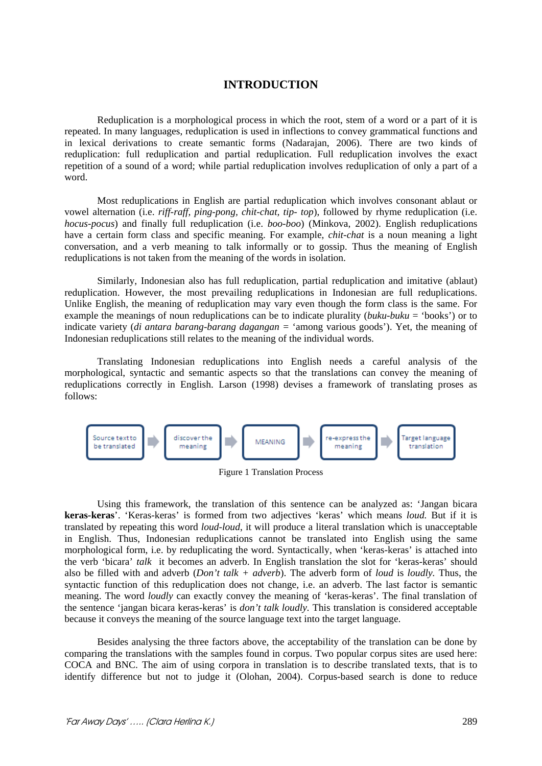## **INTRODUCTION**

Reduplication is a morphological process in which the root, stem of a word or a part of it is repeated. In many languages, reduplication is used in inflections to convey grammatical functions and in lexical derivations to create semantic forms (Nadarajan, 2006). There are two kinds of reduplication: full reduplication and partial reduplication. Full reduplication involves the exact repetition of a sound of a word; while partial reduplication involves reduplication of only a part of a word.

Most reduplications in English are partial reduplication which involves consonant ablaut or vowel alternation (i.e. *riff-raff, ping-pong, chit-chat, tip- top*), followed by rhyme reduplication (i.e. *hocus-pocus*) and finally full reduplication (i.e. *boo-boo*) (Minkova, 2002). English reduplications have a certain form class and specific meaning. For example, *chit-chat* is a noun meaning a light conversation, and a verb meaning to talk informally or to gossip. Thus the meaning of English reduplications is not taken from the meaning of the words in isolation.

Similarly, Indonesian also has full reduplication, partial reduplication and imitative (ablaut) reduplication. However, the most prevailing reduplications in Indonesian are full reduplications. Unlike English, the meaning of reduplication may vary even though the form class is the same. For example the meanings of noun reduplications can be to indicate plurality (*buku-buku* = 'books') or to indicate variety (*di antara barang-barang dagangan =* 'among various goods'). Yet, the meaning of Indonesian reduplications still relates to the meaning of the individual words.

Translating Indonesian reduplications into English needs a careful analysis of the morphological, syntactic and semantic aspects so that the translations can convey the meaning of reduplications correctly in English. Larson (1998) devises a framework of translating proses as follows:



Figure 1 Translation Process

Using this framework, the translation of this sentence can be analyzed as: 'Jangan bicara **keras-keras**'. 'Keras-keras' is formed from two adjectives 'keras' which means *loud.* But if it is translated by repeating this word *loud-loud*, it will produce a literal translation which is unacceptable in English. Thus, Indonesian reduplications cannot be translated into English using the same morphological form, i.e. by reduplicating the word. Syntactically, when 'keras-keras' is attached into the verb 'bicara' *talk* it becomes an adverb. In English translation the slot for 'keras-keras' should also be filled with and adverb (*Don't talk + adverb*). The adverb form of *loud* is *loudly.* Thus, the syntactic function of this reduplication does not change, i.e. an adverb. The last factor is semantic meaning. The word *loudly* can exactly convey the meaning of 'keras-keras'. The final translation of the sentence 'jangan bicara keras-keras' is *don't talk loudly.* This translation is considered acceptable because it conveys the meaning of the source language text into the target language.

Besides analysing the three factors above, the acceptability of the translation can be done by comparing the translations with the samples found in corpus. Two popular corpus sites are used here: COCA and BNC. The aim of using corpora in translation is to describe translated texts, that is to identify difference but not to judge it (Olohan, 2004). Corpus-based search is done to reduce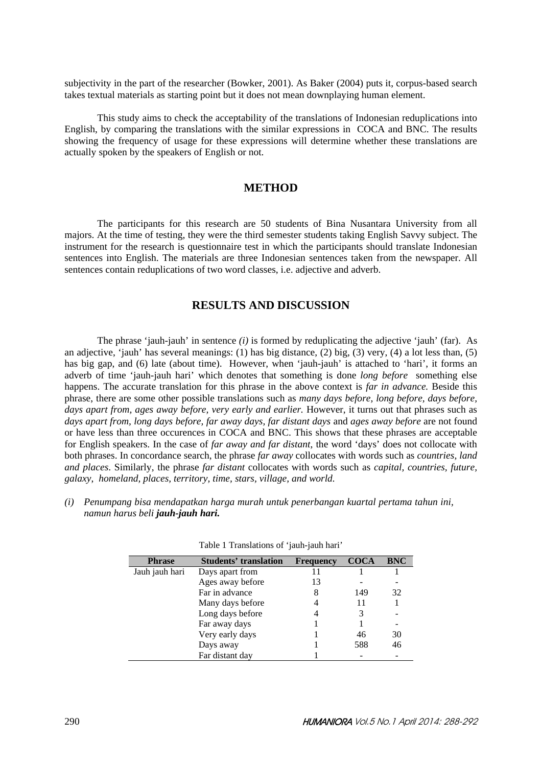subjectivity in the part of the researcher (Bowker, 2001). As Baker (2004) puts it, corpus-based search takes textual materials as starting point but it does not mean downplaying human element.

This study aims to check the acceptability of the translations of Indonesian reduplications into English, by comparing the translations with the similar expressions in COCA and BNC. The results showing the frequency of usage for these expressions will determine whether these translations are actually spoken by the speakers of English or not.

#### **METHOD**

The participants for this research are 50 students of Bina Nusantara University from all majors. At the time of testing, they were the third semester students taking English Savvy subject. The instrument for the research is questionnaire test in which the participants should translate Indonesian sentences into English. The materials are three Indonesian sentences taken from the newspaper. All sentences contain reduplications of two word classes, i.e. adjective and adverb.

## **RESULTS AND DISCUSSION**

The phrase 'jauh-jauh' in sentence *(i)* is formed by reduplicating the adjective 'jauh' (far). As an adjective, 'jauh' has several meanings: (1) has big distance, (2) big, (3) very, (4) a lot less than, (5) has big gap, and (6) late (about time). However, when 'jauh-jauh' is attached to 'hari', it forms an adverb of time 'jauh-jauh hari' which denotes that something is done *long before* something else happens. The accurate translation for this phrase in the above context is *far in advance.* Beside this phrase, there are some other possible translations such as *many days before, long before, days before,*  days apart from, ages away before, very early and earlier. However, it turns out that phrases such as *days apart from, long days before, far away days, far distant days* and *ages away before* are not found or have less than three occurences in COCA and BNC. This shows that these phrases are acceptable for English speakers. In the case of *far away and far distant*, the word 'days' does not collocate with both phrases. In concordance search, the phrase *far away* collocates with words such as *countries, land and places*. Similarly, the phrase *far distant* collocates with words such as *capital, countries, future, galaxy*, *homeland, places, territory, time, stars, village, and world.* 

*(i) Penumpang bisa mendapatkan harga murah untuk penerbangan kuartal pertama tahun ini, namun harus beli jauh-jauh hari.*

| <b>Phrase</b>  | <b>Students' translation</b> | <b>Frequency</b> | <b>COCA</b> | <b>BNC</b> |
|----------------|------------------------------|------------------|-------------|------------|
| Jauh jauh hari | Days apart from              |                  |             |            |
|                | Ages away before             | 13               |             |            |
|                | Far in advance               |                  | 149         | 32         |
|                | Many days before             |                  |             |            |
|                | Long days before             |                  |             |            |
|                | Far away days                |                  |             |            |
|                | Very early days              |                  | 46          | 30         |
|                | Days away                    |                  | 588         | 46         |
|                | Far distant day              |                  |             |            |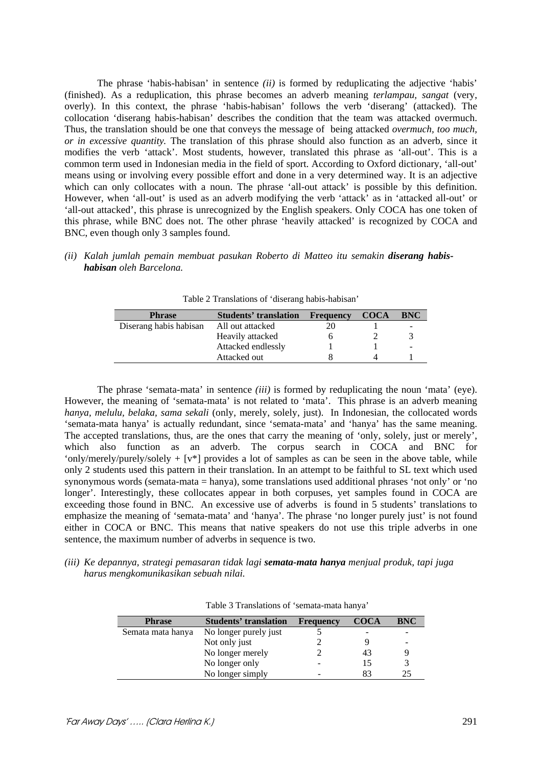The phrase 'habis-habisan' in sentence *(ii)* is formed by reduplicating the adjective 'habis' (finished). As a reduplication, this phrase becomes an adverb meaning *terlampau, sangat* (very, overly). In this context, the phrase 'habis-habisan' follows the verb 'diserang' (attacked). The collocation 'diserang habis-habisan' describes the condition that the team was attacked overmuch. Thus, the translation should be one that conveys the message of being attacked *overmuch, too much, or in excessive quantity.* The translation of this phrase should also function as an adverb, since it modifies the verb 'attack'. Most students, however, translated this phrase as 'all-out'. This is a common term used in Indonesian media in the field of sport. According to Oxford dictionary, 'all-out' means using or involving every possible effort and done in a very determined way. It is an adjective which can only collocates with a noun. The phrase 'all-out attack' is possible by this definition. However, when 'all-out' is used as an adverb modifying the verb 'attack' as in 'attacked all-out' or 'all-out attacked', this phrase is unrecognized by the English speakers. Only COCA has one token of this phrase, while BNC does not. The other phrase 'heavily attacked' is recognized by COCA and BNC, even though only 3 samples found.

*(ii) Kalah jumlah pemain membuat pasukan Roberto di Matteo itu semakin diserang habishabisan oleh Barcelona.* 

| <b>Phrase</b>          | <b>Students' translation</b> | Frequency | <b>COCA</b> | <b>BNC</b> |
|------------------------|------------------------------|-----------|-------------|------------|
| Diserang habis habisan | All out attacked             |           |             | -          |
|                        | Heavily attacked             |           |             |            |
|                        | Attacked endlessly           |           |             |            |
|                        | Attacked out                 |           |             |            |

Table 2 Translations of 'diserang habis-habisan'

The phrase 'semata-mata' in sentence *(iii)* is formed by reduplicating the noun 'mata' (eye). However, the meaning of 'semata-mata' is not related to 'mata'. This phrase is an adverb meaning *hanya, melulu, belaka, sama sekali* (only, merely, solely, just). In Indonesian, the collocated words 'semata-mata hanya' is actually redundant, since 'semata-mata' and 'hanya' has the same meaning. The accepted translations, thus, are the ones that carry the meaning of 'only, solely, just or merely', which also function as an adverb. The corpus search in COCA and BNC for 'only/merely/purely/solely  $+$  [v\*] provides a lot of samples as can be seen in the above table, while only 2 students used this pattern in their translation. In an attempt to be faithful to SL text which used synonymous words (semata-mata = hanya), some translations used additional phrases 'not only' or 'no longer'. Interestingly, these collocates appear in both corpuses, yet samples found in COCA are exceeding those found in BNC. An excessive use of adverbs is found in 5 students' translations to emphasize the meaning of 'semata-mata' and 'hanya'. The phrase 'no longer purely just' is not found either in COCA or BNC. This means that native speakers do not use this triple adverbs in one sentence, the maximum number of adverbs in sequence is two.

*(iii) Ke depannya, strategi pemasaran tidak lagi semata-mata hanya menjual produk, tapi juga harus mengkomunikasikan sebuah nilai.* 

| <b>Phrase</b>     | <b>Students' translation</b> | <b>Frequency</b> | <b>COCA</b> | <b>BNC</b> |
|-------------------|------------------------------|------------------|-------------|------------|
| Semata mata hanya | No longer purely just        |                  |             |            |
|                   | Not only just                |                  |             |            |
|                   | No longer merely             |                  | 43          |            |
|                   | No longer only               |                  | 15          | 3          |
|                   | No longer simply             |                  | 83          | 25         |

| Table 3 Translations of 'semata-mata hanya' |  |
|---------------------------------------------|--|
|---------------------------------------------|--|